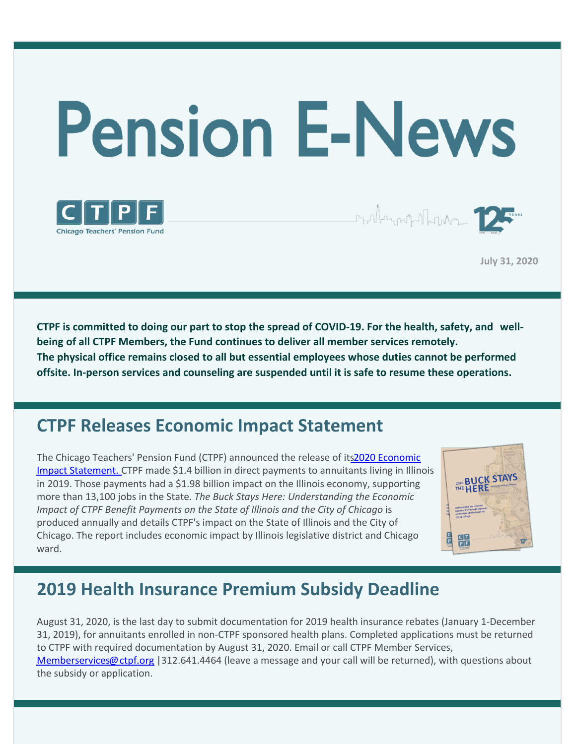



Staller and all phone of the

**July 31, 2020**

CTPF is committed to doing our part to stop the spread of COVID-19. For the health, safety, and well**being of all CTPF Members, the Fund continues to deliver all member services remotely. The physical office remains closed to all but essential employees whose duties cannot be performed offsite. In-person services and counseling are suspended until it is safe to resume these operations.**

### **CTPF Releases Economic Impact Statement**

The Chicago Teachers' Pension Fund (CTPF) [announced](https://www.ctpf.org/economic-impact-statement) the release of its2020 Economic Impact Statement. CTPF made \$1.4 billion in direct payments to annuitants living in Illinois in 2019. Those payments had a \$1.98 billion impact on the Illinois economy, supporting more than 13,100 jobs in the State. *The Buck Stays Here: Understanding the Economic Impact of CTPF Benefit Payments on the State of Illinois and the City of Chicago* is produced annually and details CTPF's impact on the State of Illinois and the City of Chicago. The report includes economic impact by Illinois legislative district and Chicago ward.



## **2019 Health Insurance Premium Subsidy Deadline**

August 31, 2020, is the last day to submit documentation for 2019 health insurance rebates (January 1-December 31, 2019), for annuitants enrolled in non-CTPF sponsored health plans. Completed applications must be returned to CTPF with required documentation by August 31, 2020. Email or call CTPF Member Services, [Memberservices@ctpf.org](mailto:MemberServices@ctpf.org) |312.641.4464 (leave a message and your call will be returned), with questions about the subsidy or application.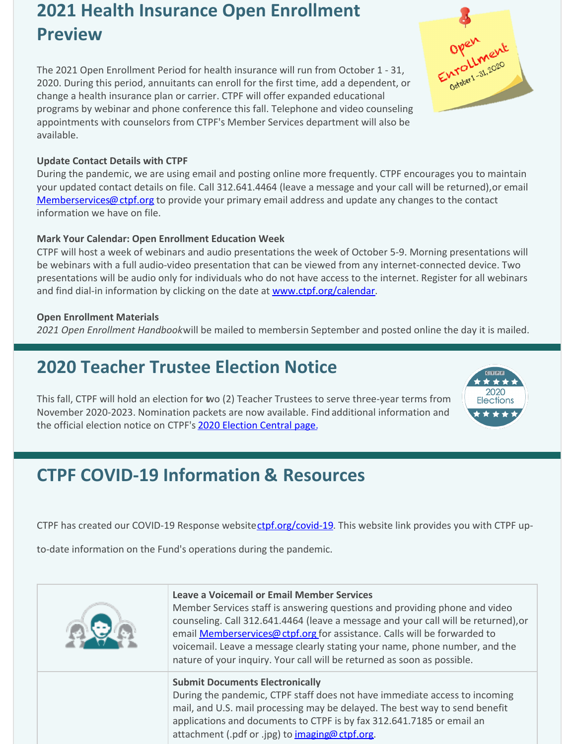## **2021 Health Insurance Open Enrollment Preview**

The 2021 Open Enrollment Period for health insurance will run from October 1 - 31, 2020. During this period, annuitants can enroll for the first time, add a dependent, or change a health insurance plan or carrier. CTPF will offer expanded educational programs by webinar and phone conference this fall. Telephone and video counseling appointments with counselors from CTPF's Member Services department will also be available.

#### **Update Contact Details with CTPF**

During the pandemic, we are using email and posting online more frequently. CTPF encourages you to maintain your updated contact details on file. Call 312.641.4464 (leave a message and your call will be returned), or email [Memberservices@ctpf.org](mailto:Memberservices@ctpf.org) to provide your primary email address and update any changes to the contact information we have on file.

#### **Mark Your Calendar: Open Enrollment Education Week**

CTPF will host a week of webinars and audio presentations the week of October 5-9. Morning presentations will be webinars with a full audio-video presentation that can be viewed from any internet-connected device. Two presentations will be audio only for individuals who do not have access to the internet. Register for all webinars and find dial-in information by clicking on the date at [www.ctpf.org/calendar](http://www.ctpf.org/calendar).

#### **Open Enrollment Materials**

2021 Open Enrollment Handbookwill be mailed to membersin September and posted online the day it is mailed.

# **2020 Teacher Trustee Election Notice**

This fall, CTPF will hold an election for two (2) Teacher Trustees to serve three-year terms from November 2020-2023. Nomination packets are now available. Find additional information and the official election notice on CTPF's [2020 Election Central page.](https://www.ctpf.org/2020-election-central)

# **CTPF COVID-19 Information & Resources**

CTPF has created our COVID-19 Response websitectpf.org/covid-19. This website link provides you with CTPF up-

to-date information on the Fund's operations during the pandemic.

| <b>Leave a Voicemail or Email Member Services</b><br>Member Services staff is answering questions and providing phone and video<br>counseling. Call 312.641.4464 (leave a message and your call will be returned), or<br>email <b>Memberservices@ ctpf.org</b> for assistance. Calls will be forwarded to<br>voicemail. Leave a message clearly stating your name, phone number, and the<br>nature of your inquiry. Your call will be returned as soon as possible. |
|---------------------------------------------------------------------------------------------------------------------------------------------------------------------------------------------------------------------------------------------------------------------------------------------------------------------------------------------------------------------------------------------------------------------------------------------------------------------|
| <b>Submit Documents Electronically</b><br>During the pandemic, CTPF staff does not have immediate access to incoming<br>mail, and U.S. mail processing may be delayed. The best way to send benefit<br>applications and documents to CTPF is by fax 312.641.7185 or email an<br>attachment (.pdf or .jpg) to imaging@ctpf.org.                                                                                                                                      |



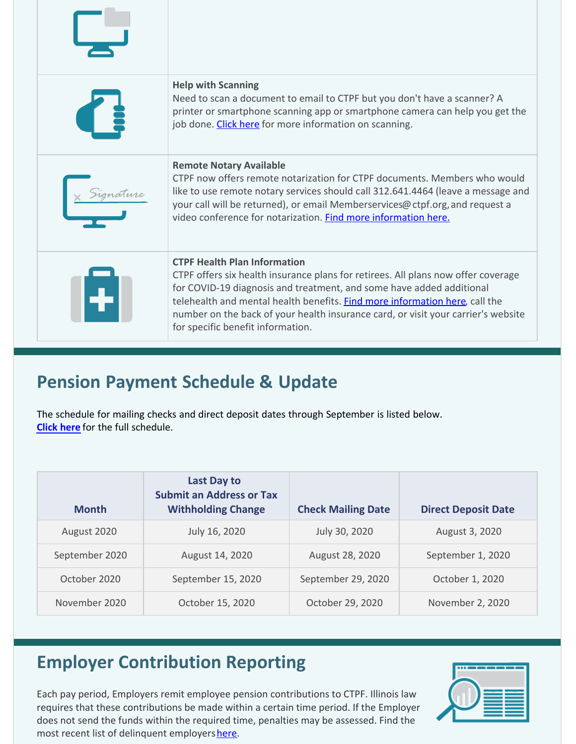| <b>Help with Scanning</b><br>Need to scan a document to email to CTPF but you don't have a scanner? A<br>printer or smartphone scanning app or smartphone camera can help you get the<br>job done. Click here for more information on scanning.                                                                                                                                                           |
|-----------------------------------------------------------------------------------------------------------------------------------------------------------------------------------------------------------------------------------------------------------------------------------------------------------------------------------------------------------------------------------------------------------|
| <b>Remote Notary Available</b><br>CTPF now offers remote notarization for CTPF documents. Members who would<br>like to use remote notary services should call 312.641.4464 (leave a message and<br>your call will be returned), or email Memberservices@ctpf.org, and request a<br>video conference for notarization. Find more information here.                                                         |
| <b>CTPF Health Plan Information</b><br>CTPF offers six health insurance plans for retirees. All plans now offer coverage<br>for COVID-19 diagnosis and treatment, and some have added additional<br>telehealth and mental health benefits. Find more information here, call the<br>number on the back of your health insurance card, or visit your carrier's website<br>for specific benefit information. |

# **Pension Payment Schedule & Update**

The schedule for mailing checks and direct deposit dates through September is listed below. **[Click here](https://www.ctpf.org/pension-payments)** for the full schedule.

| <b>Month</b>   | Last Day to<br><b>Submit an Address or Tax</b><br><b>Withholding Change</b> | <b>Check Mailing Date</b> | <b>Direct Deposit Date</b> |
|----------------|-----------------------------------------------------------------------------|---------------------------|----------------------------|
| August 2020    | July 16, 2020                                                               | July 30, 2020             | August 3, 2020             |
| September 2020 | August 14, 2020                                                             | August 28, 2020           | September 1, 2020          |
| October 2020   | September 15, 2020                                                          | September 29, 2020        | October 1, 2020            |
| November 2020  | October 15, 2020                                                            | October 29, 2020          | November 2, 2020           |

# **Employer Contribution Reporting**

Each pay period, Employers remit employee pension contributions to CTPF. Illinois law requires that these contributions be made within a certain time period. If the Employer does not send the funds within the required time, penalties may be assessed. Find the most recent list of delinquent employers [here.](http://ctpf.org/employer-contribution-reporting)